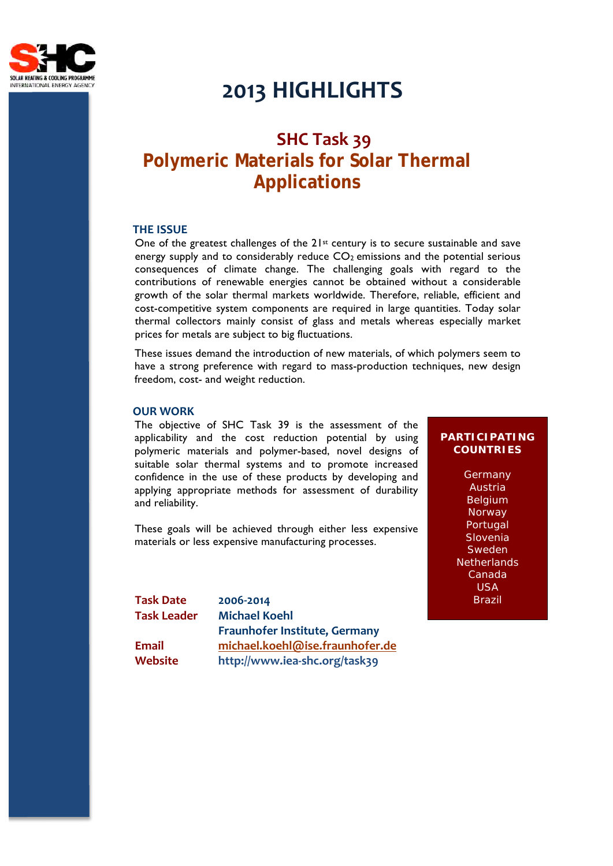

# **2013 HIGHLIGHTS**

# **SHC Task 39 Polymeric Materials for Solar Thermal Applications**

#### **THE ISSUE**

One of the greatest challenges of the 21st century is to secure sustainable and save energy supply and to considerably reduce  $CO<sub>2</sub>$  emissions and the potential serious consequences of climate change. The challenging goals with regard to the contributions of renewable energies cannot be obtained without a considerable growth of the solar thermal markets worldwide. Therefore, reliable, efficient and cost-competitive system components are required in large quantities. Today solar thermal collectors mainly consist of glass and metals whereas especially market prices for metals are subject to big fluctuations.

These issues demand the introduction of new materials, of which polymers seem to have a strong preference with regard to mass-production techniques, new design freedom, cost- and weight reduction.

### **OUR WORK**

The objective of SHC Task 39 is the assessment of the applicability and the cost reduction potential by using polymeric materials and polymer-based, novel designs of suitable solar thermal systems and to promote increased confidence in the use of these products by developing and applying appropriate methods for assessment of durability and reliability.

These goals will be achieved through either less expensive materials or less expensive manufacturing processes.

**COUNTRIES**

**PARTICIPATING** 

**Germany** Austria Belgium Norway Portugal Slovenia **Sweden Netherlands** Canada USA Brazil

**Task Date 2006-2014 Task Leader Michael Koehl Fraunhofer Institute, Germany Email michael.koehl@ise.fraunhofer.de Website http://www.iea-shc.org/task39**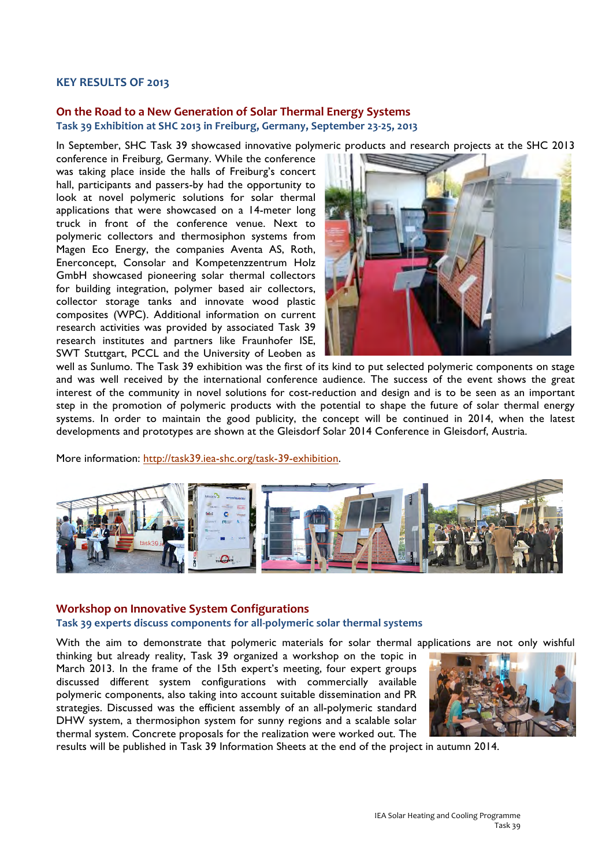#### **KEY RESULTS OF 2013**

# **On the Road to a New Generation of Solar Thermal Energy Systems**

**Task 39 Exhibition at SHC 2013 in Freiburg, Germany, September 23-25, 2013**

In September, SHC Task 39 showcased innovative polymeric products and research projects at the SHC 2013

conference in Freiburg, Germany. While the conference was taking place inside the halls of Freiburg's concert hall, participants and passers-by had the opportunity to look at novel polymeric solutions for solar thermal applications that were showcased on a 14-meter long truck in front of the conference venue. Next to polymeric collectors and thermosiphon systems from Magen Eco Energy, the companies Aventa AS, Roth, Enerconcept, Consolar and Kompetenzzentrum Holz GmbH showcased pioneering solar thermal collectors for building integration, polymer based air collectors, collector storage tanks and innovate wood plastic composites (WPC). Additional information on current research activities was provided by associated Task 39 research institutes and partners like Fraunhofer ISE, SWT Stuttgart, PCCL and the University of Leoben as



well as Sunlumo. The Task 39 exhibition was the first of its kind to put selected polymeric components on stage and was well received by the international conference audience. The success of the event shows the great interest of the community in novel solutions for cost-reduction and design and is to be seen as an important step in the promotion of polymeric products with the potential to shape the future of solar thermal energy systems. In order to maintain the good publicity, the concept will be continued in 2014, when the latest developments and prototypes are shown at the Gleisdorf Solar 2014 Conference in Gleisdorf, Austria.

More information: http://task39.iea-shc.org/task-39-exhibition.



# **Workshop on Innovative System Configurations Task 39 experts discuss components for all-polymeric solar thermal systems**

With the aim to demonstrate that polymeric materials for solar thermal applications are not only wishful

thinking but already reality, Task 39 organized a workshop on the topic in March 2013. In the frame of the 15th expert's meeting, four expert groups discussed different system configurations with commercially available polymeric components, also taking into account suitable dissemination and PR strategies. Discussed was the efficient assembly of an all-polymeric standard DHW system, a thermosiphon system for sunny regions and a scalable solar thermal system. Concrete proposals for the realization were worked out. The



results will be published in Task 39 Information Sheets at the end of the project in autumn 2014.